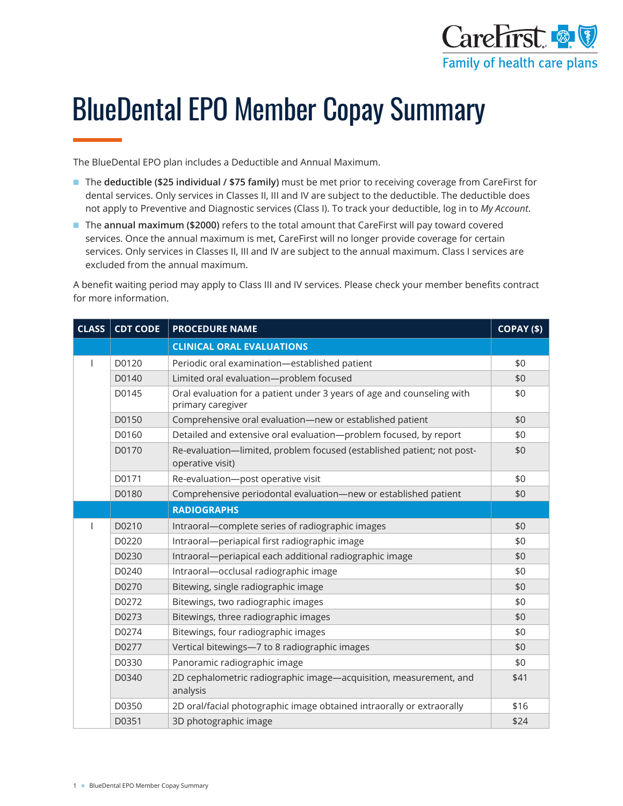

# BlueDental EPO Member Copay Summary

The BlueDental EPO plan includes a Deductible and Annual Maximum.

- The **deductible (\$25 individual / \$75 family)** must be met prior to receiving coverage from CareFirst for dental services. Only services in Classes II, III and IV are subject to the deductible. The deductible does not apply to Preventive and Diagnostic services (Class I). To track your deductible, log in to *My Account*.
- The **annual maximum (\$2000)** refers to the total amount that CareFirst will pay toward covered services. Once the annual maximum is met, CareFirst will no longer provide coverage for certain services. Only services in Classes II, III and IV are subject to the annual maximum. Class I services are excluded from the annual maximum.

A benefit waiting period may apply to Class III and IV services. Please check your member benefits contract for more information.

| <b>CLASS</b> | <b>CDT CODE</b> | <b>PROCEDURE NAME</b>                                                                       | $COPAY($ \$) |
|--------------|-----------------|---------------------------------------------------------------------------------------------|--------------|
|              |                 | <b>CLINICAL ORAL EVALUATIONS</b>                                                            |              |
|              | D0120           | Periodic oral examination-established patient                                               | \$0          |
|              | D0140           | Limited oral evaluation-problem focused                                                     | \$0          |
|              | D0145           | Oral evaluation for a patient under 3 years of age and counseling with<br>primary caregiver | \$0          |
|              | D0150           | Comprehensive oral evaluation-new or established patient                                    | \$0          |
|              | D0160           | Detailed and extensive oral evaluation-problem focused, by report                           | \$0          |
|              | D0170           | Re-evaluation-limited, problem focused (established patient; not post-<br>operative visit)  | \$0          |
|              | D0171           | Re-evaluation-post operative visit                                                          | \$0          |
|              | D0180           | Comprehensive periodontal evaluation-new or established patient                             | \$0          |
|              |                 | <b>RADIOGRAPHS</b>                                                                          |              |
|              | D0210           | Intraoral-complete series of radiographic images                                            | \$0          |
|              | D0220           | Intraoral-periapical first radiographic image                                               | \$0          |
|              | D0230           | Intraoral-periapical each additional radiographic image                                     | \$0          |
|              | D0240           | Intraoral-occlusal radiographic image                                                       | \$0          |
|              | D0270           | Bitewing, single radiographic image                                                         | \$0          |
|              | D0272           | Bitewings, two radiographic images                                                          | \$0          |
|              | D0273           | Bitewings, three radiographic images                                                        | \$0          |
|              | D0274           | Bitewings, four radiographic images                                                         | \$0          |
|              | D0277           | Vertical bitewings-7 to 8 radiographic images                                               | \$0          |
|              | D0330           | Panoramic radiographic image                                                                | \$0          |
|              | D0340           | 2D cephalometric radiographic image-acquisition, measurement, and<br>analysis               | \$41         |
|              | D0350           | 2D oral/facial photographic image obtained intraorally or extraorally                       | \$16         |
|              | D0351           | 3D photographic image                                                                       | \$24         |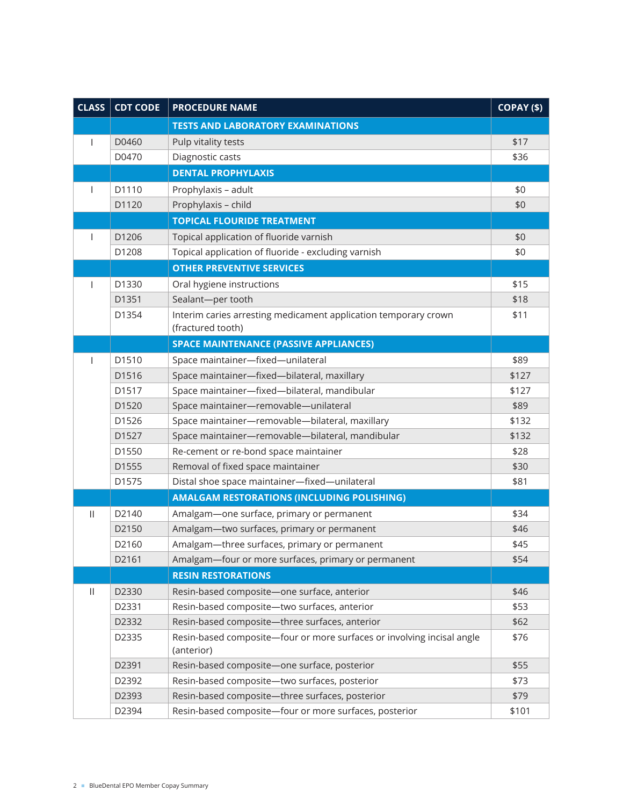| <b>CLASS</b> | <b>CDT CODE</b>   | <b>PROCEDURE NAME</b>                                                                | COPAY (\$) |
|--------------|-------------------|--------------------------------------------------------------------------------------|------------|
|              |                   | <b>TESTS AND LABORATORY EXAMINATIONS</b>                                             |            |
|              | D0460             | Pulp vitality tests                                                                  | \$17       |
|              | D0470             | Diagnostic casts                                                                     | \$36       |
|              |                   | <b>DENTAL PROPHYLAXIS</b>                                                            |            |
|              | D1110             | Prophylaxis - adult                                                                  | \$0        |
|              | D1120             | Prophylaxis - child                                                                  | \$0        |
|              |                   | <b>TOPICAL FLOURIDE TREATMENT</b>                                                    |            |
|              | D1206             | Topical application of fluoride varnish                                              | \$0        |
|              | D1208             | Topical application of fluoride - excluding varnish                                  | \$0        |
|              |                   | <b>OTHER PREVENTIVE SERVICES</b>                                                     |            |
|              | D1330             | Oral hygiene instructions                                                            | \$15       |
|              | D1351             | Sealant-per tooth                                                                    | \$18       |
|              | D1354             | Interim caries arresting medicament application temporary crown                      | \$11       |
|              |                   | (fractured tooth)                                                                    |            |
|              |                   | <b>SPACE MAINTENANCE (PASSIVE APPLIANCES)</b>                                        |            |
|              | D1510             | Space maintainer-fixed-unilateral                                                    | \$89       |
|              | D1516             | Space maintainer-fixed-bilateral, maxillary                                          | \$127      |
|              | D1517             | Space maintainer-fixed-bilateral, mandibular                                         | \$127      |
|              | D1520             | Space maintainer-removable-unilateral                                                | \$89       |
|              | D1526             | Space maintainer-removable-bilateral, maxillary                                      | \$132      |
|              | D1527             | Space maintainer-removable-bilateral, mandibular                                     | \$132      |
|              | D1550             | Re-cement or re-bond space maintainer                                                | \$28       |
|              | D1555             | Removal of fixed space maintainer                                                    | \$30       |
|              | D1575             | Distal shoe space maintainer-fixed-unilateral                                        | \$81       |
|              |                   | <b>AMALGAM RESTORATIONS (INCLUDING POLISHING)</b>                                    |            |
| $\mathbf{H}$ | D2140             | Amalgam-one surface, primary or permanent                                            | \$34       |
|              | D2150             | Amalgam-two surfaces, primary or permanent                                           | \$46       |
|              | D <sub>2160</sub> | Amalgam-three surfaces, primary or permanent                                         | \$45       |
|              | D2161             | Amalgam-four or more surfaces, primary or permanent                                  | \$54       |
|              |                   | <b>RESIN RESTORATIONS</b>                                                            |            |
| $\mathbf{H}$ | D2330             | Resin-based composite-one surface, anterior                                          | \$46       |
|              | D2331             | Resin-based composite-two surfaces, anterior                                         | \$53       |
|              | D2332             | Resin-based composite-three surfaces, anterior                                       | \$62       |
|              | D2335             | Resin-based composite-four or more surfaces or involving incisal angle<br>(anterior) | \$76       |
|              | D2391             | Resin-based composite-one surface, posterior                                         | \$55       |
|              | D2392             | Resin-based composite-two surfaces, posterior                                        | \$73       |
|              | D2393             | Resin-based composite-three surfaces, posterior                                      | \$79       |
|              | D2394             | Resin-based composite-four or more surfaces, posterior                               | \$101      |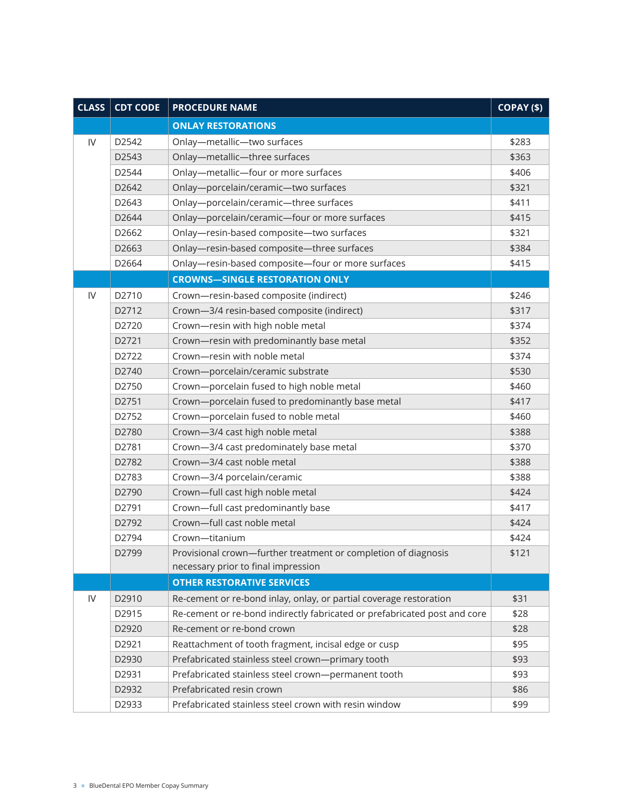| <b>CLASS</b>  | <b>CDT CODE</b>   | <b>PROCEDURE NAME</b>                                                     | COPAY (\$) |
|---------------|-------------------|---------------------------------------------------------------------------|------------|
|               |                   | <b>ONLAY RESTORATIONS</b>                                                 |            |
| $\mathsf{IV}$ | D2542             | Onlay-metallic-two surfaces                                               | \$283      |
|               | D2543             | Onlay-metallic-three surfaces                                             | \$363      |
|               | D2544             | Onlay-metallic-four or more surfaces                                      | \$406      |
|               | D2642             | Onlay-porcelain/ceramic-two surfaces                                      | \$321      |
|               | D2643             | Onlay-porcelain/ceramic-three surfaces                                    | \$411      |
|               | D2644             | Onlay-porcelain/ceramic-four or more surfaces                             | \$415      |
|               | D2662             | Onlay-resin-based composite-two surfaces                                  | \$321      |
|               | D2663             | Onlay-resin-based composite-three surfaces                                | \$384      |
|               | D2664             | Onlay-resin-based composite-four or more surfaces                         | \$415      |
|               |                   | <b>CROWNS-SINGLE RESTORATION ONLY</b>                                     |            |
| IV            | D2710             | Crown-resin-based composite (indirect)                                    | \$246      |
|               | D2712             | Crown-3/4 resin-based composite (indirect)                                | \$317      |
|               | D2720             | Crown-resin with high noble metal                                         | \$374      |
|               | D2721             | Crown-resin with predominantly base metal                                 | \$352      |
|               | D2722             | Crown-resin with noble metal                                              | \$374      |
|               | D2740             | Crown-porcelain/ceramic substrate                                         | \$530      |
|               | D2750             | Crown-porcelain fused to high noble metal                                 | \$460      |
|               | D2751             | Crown-porcelain fused to predominantly base metal                         | \$417      |
|               | D2752             | Crown-porcelain fused to noble metal                                      | \$460      |
|               | D2780             | Crown-3/4 cast high noble metal                                           | \$388      |
|               | D2781             | Crown-3/4 cast predominately base metal                                   | \$370      |
|               | D2782             | Crown-3/4 cast noble metal                                                | \$388      |
|               | D2783             | Crown-3/4 porcelain/ceramic                                               | \$388      |
|               | D2790             | Crown-full cast high noble metal                                          | \$424      |
|               | D2791             | Crown-full cast predominantly base                                        | \$417      |
|               | D2792             | Crown-full cast noble metal                                               | \$424      |
|               | D2794             | Crown-titanium                                                            | \$424      |
|               | D <sub>2799</sub> | Provisional crown-further treatment or completion of diagnosis            | \$121      |
|               |                   | necessary prior to final impression                                       |            |
|               |                   | <b>OTHER RESTORATIVE SERVICES</b>                                         |            |
| ${\sf IV}$    | D2910             | Re-cement or re-bond inlay, onlay, or partial coverage restoration        | \$31       |
|               | D2915             | Re-cement or re-bond indirectly fabricated or prefabricated post and core | \$28       |
|               | D2920             | Re-cement or re-bond crown                                                | \$28       |
|               | D2921             | Reattachment of tooth fragment, incisal edge or cusp                      | \$95       |
|               | D2930             | Prefabricated stainless steel crown-primary tooth                         | \$93       |
|               | D2931             | Prefabricated stainless steel crown-permanent tooth                       | \$93       |
|               | D2932             | Prefabricated resin crown                                                 | \$86       |
|               | D2933             | Prefabricated stainless steel crown with resin window                     | \$99       |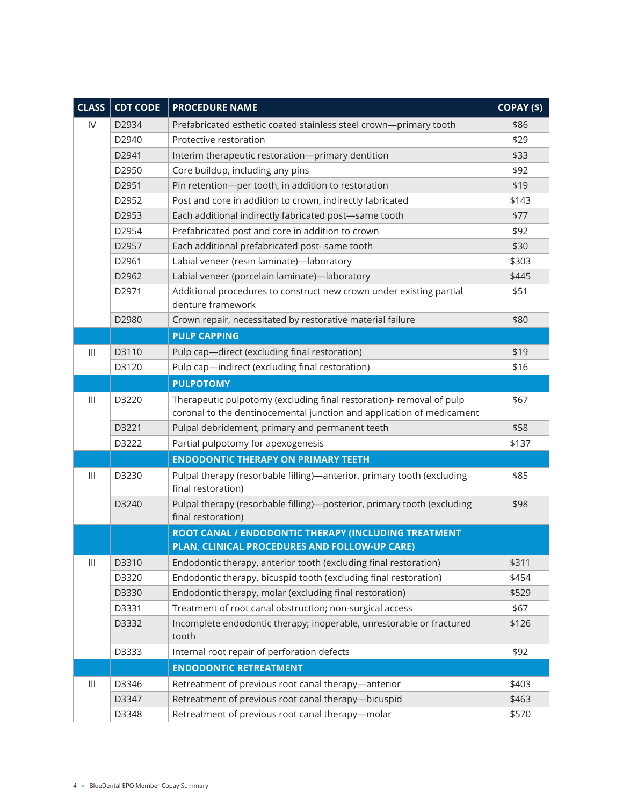| <b>CLASS</b>                              | <b>CDT CODE</b> | <b>PROCEDURE NAME</b>                                                                         | COPAY (\$) |
|-------------------------------------------|-----------------|-----------------------------------------------------------------------------------------------|------------|
| IV                                        | D2934           | Prefabricated esthetic coated stainless steel crown-primary tooth                             | \$86       |
|                                           | D2940           | Protective restoration                                                                        | \$29       |
|                                           | D2941           | Interim therapeutic restoration-primary dentition                                             | \$33       |
|                                           | D2950           | Core buildup, including any pins                                                              | \$92       |
|                                           | D2951           | Pin retention-per tooth, in addition to restoration                                           | \$19       |
|                                           | D2952           | Post and core in addition to crown, indirectly fabricated                                     | \$143      |
|                                           | D2953           | Each additional indirectly fabricated post-same tooth                                         | \$77       |
|                                           | D2954           | Prefabricated post and core in addition to crown                                              | \$92       |
|                                           | D2957           | Each additional prefabricated post- same tooth                                                | \$30       |
|                                           | D2961           | Labial veneer (resin laminate)-laboratory                                                     | \$303      |
|                                           | D2962           | Labial veneer (porcelain laminate)-laboratory                                                 | \$445      |
|                                           | D2971           | Additional procedures to construct new crown under existing partial<br>denture framework      | \$51       |
|                                           | D2980           | Crown repair, necessitated by restorative material failure                                    | \$80       |
|                                           |                 | <b>PULP CAPPING</b>                                                                           |            |
| $\begin{array}{c} \hline \end{array}$     | D3110           | Pulp cap-direct (excluding final restoration)                                                 | \$19       |
|                                           | D3120           | Pulp cap-indirect (excluding final restoration)                                               | \$16       |
|                                           |                 | <b>PULPOTOMY</b>                                                                              |            |
| $\mathop{1\hskip-2.5pt {\rm l}}\nolimits$ | D3220           | Therapeutic pulpotomy (excluding final restoration)- removal of pulp                          | \$67       |
|                                           |                 | coronal to the dentinocemental junction and application of medicament                         |            |
|                                           | D3221           | Pulpal debridement, primary and permanent teeth                                               | \$58       |
|                                           | D3222           | Partial pulpotomy for apexogenesis                                                            | \$137      |
|                                           |                 | <b>ENDODONTIC THERAPY ON PRIMARY TEETH</b>                                                    |            |
| $\mathop{1\hskip-2.5pt {\rm l}}\nolimits$ | D3230           | Pulpal therapy (resorbable filling)-anterior, primary tooth (excluding<br>final restoration)  | \$85       |
|                                           | D3240           | Pulpal therapy (resorbable filling)-posterior, primary tooth (excluding<br>final restoration) | \$98       |
|                                           |                 | ROOT CANAL / ENDODONTIC THERAPY (INCLUDING TREATMENT                                          |            |
|                                           |                 | PLAN, CLINICAL PROCEDURES AND FOLLOW-UP CARE)                                                 |            |
| $\ensuremath{\mathsf{III}}\xspace$        | D3310           | Endodontic therapy, anterior tooth (excluding final restoration)                              | \$311      |
|                                           | D3320           | Endodontic therapy, bicuspid tooth (excluding final restoration)                              | \$454      |
|                                           | D3330           | Endodontic therapy, molar (excluding final restoration)                                       | \$529      |
|                                           | D3331           | Treatment of root canal obstruction; non-surgical access                                      | \$67       |
|                                           | D3332           | Incomplete endodontic therapy; inoperable, unrestorable or fractured<br>tooth                 | \$126      |
|                                           | D3333           | Internal root repair of perforation defects                                                   | \$92       |
|                                           |                 | <b>ENDODONTIC RETREATMENT</b>                                                                 |            |
| Ш                                         | D3346           | Retreatment of previous root canal therapy-anterior                                           | \$403      |
|                                           | D3347           | Retreatment of previous root canal therapy-bicuspid                                           | \$463      |
|                                           | D3348           | Retreatment of previous root canal therapy-molar                                              | \$570      |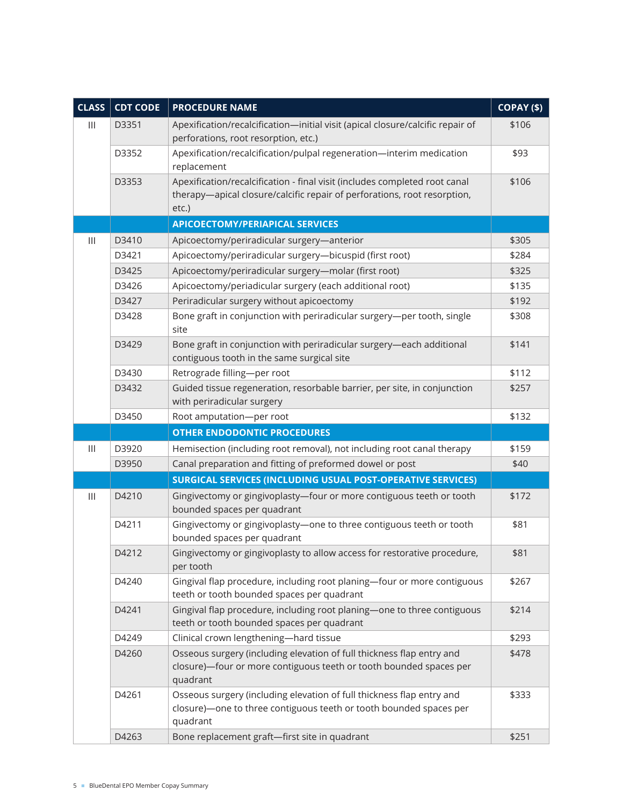| <b>CLASS</b>                              | <b>CDT CODE</b> | <b>PROCEDURE NAME</b>                                                                                                                                           | COPAY (\$) |
|-------------------------------------------|-----------------|-----------------------------------------------------------------------------------------------------------------------------------------------------------------|------------|
| $\mathbf{III}$                            | D3351           | Apexification/recalcification-initial visit (apical closure/calcific repair of<br>perforations, root resorption, etc.)                                          | \$106      |
|                                           | D3352           | Apexification/recalcification/pulpal regeneration-interim medication<br>replacement                                                                             | \$93       |
|                                           | D3353           | Apexification/recalcification - final visit (includes completed root canal<br>therapy-apical closure/calcific repair of perforations, root resorption,<br>etc.) | \$106      |
|                                           |                 | <b>APICOECTOMY/PERIAPICAL SERVICES</b>                                                                                                                          |            |
| $\mathop{1\hskip-2.5pt {\rm l}}\nolimits$ | D3410           | Apicoectomy/periradicular surgery-anterior                                                                                                                      | \$305      |
|                                           | D3421           | Apicoectomy/periradicular surgery-bicuspid (first root)                                                                                                         | \$284      |
|                                           | D3425           | Apicoectomy/periradicular surgery-molar (first root)                                                                                                            | \$325      |
|                                           | D3426           | Apicoectomy/periadicular surgery (each additional root)                                                                                                         | \$135      |
|                                           | D3427           | Periradicular surgery without apicoectomy                                                                                                                       | \$192      |
|                                           | D3428           | Bone graft in conjunction with periradicular surgery-per tooth, single<br>site                                                                                  | \$308      |
|                                           | D3429           | Bone graft in conjunction with periradicular surgery-each additional<br>contiguous tooth in the same surgical site                                              | \$141      |
|                                           | D3430           | Retrograde filling-per root                                                                                                                                     | \$112      |
|                                           | D3432           | Guided tissue regeneration, resorbable barrier, per site, in conjunction<br>with periradicular surgery                                                          | \$257      |
|                                           | D3450           | Root amputation-per root                                                                                                                                        | \$132      |
|                                           |                 | <b>OTHER ENDODONTIC PROCEDURES</b>                                                                                                                              |            |
| $\mathbf{III}$                            | D3920           | Hemisection (including root removal), not including root canal therapy                                                                                          | \$159      |
|                                           | D3950           | Canal preparation and fitting of preformed dowel or post                                                                                                        | \$40       |
|                                           |                 | <b>SURGICAL SERVICES (INCLUDING USUAL POST-OPERATIVE SERVICES)</b>                                                                                              |            |
| $\mathop{1\hskip-2.5pt {\rm l}}\nolimits$ | D4210           | Gingivectomy or gingivoplasty-four or more contiguous teeth or tooth<br>bounded spaces per quadrant                                                             | \$172      |
|                                           | D4211           | Gingivectomy or gingivoplasty-one to three contiguous teeth or tooth<br>bounded spaces per quadrant                                                             | \$81       |
|                                           | D4212           | Gingivectomy or gingivoplasty to allow access for restorative procedure,<br>per tooth                                                                           | \$81       |
|                                           | D4240           | Gingival flap procedure, including root planing-four or more contiguous<br>teeth or tooth bounded spaces per quadrant                                           | \$267      |
|                                           | D4241           | Gingival flap procedure, including root planing-one to three contiguous<br>teeth or tooth bounded spaces per quadrant                                           | \$214      |
|                                           | D4249           | Clinical crown lengthening-hard tissue                                                                                                                          | \$293      |
|                                           | D4260           | Osseous surgery (including elevation of full thickness flap entry and<br>closure)-four or more contiguous teeth or tooth bounded spaces per<br>quadrant         | \$478      |
|                                           | D4261           | Osseous surgery (including elevation of full thickness flap entry and<br>closure)-one to three contiguous teeth or tooth bounded spaces per<br>quadrant         | \$333      |
|                                           | D4263           | Bone replacement graft-first site in quadrant                                                                                                                   | \$251      |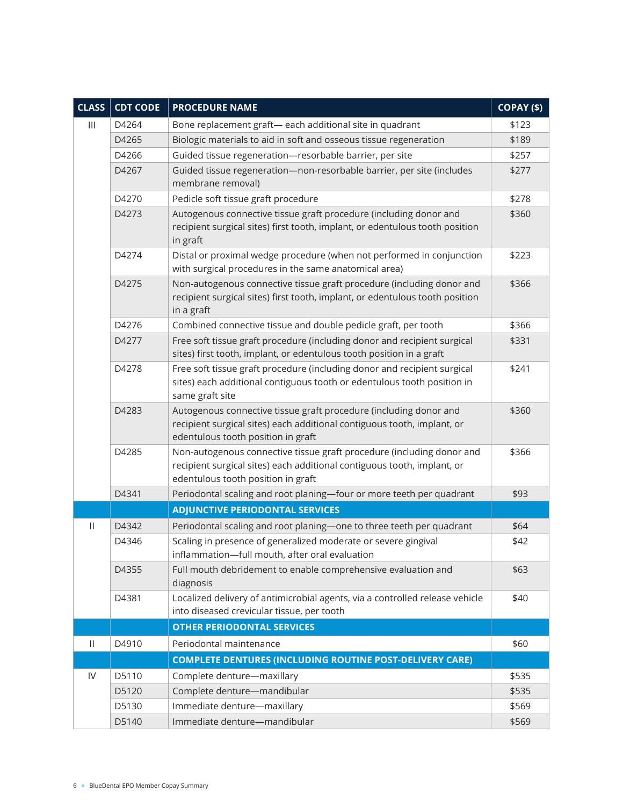| <b>CLASS</b> | <b>CDT CODE</b> | <b>PROCEDURE NAME</b>                                                                                                                                                                  | COPAY (\$) |
|--------------|-----------------|----------------------------------------------------------------------------------------------------------------------------------------------------------------------------------------|------------|
| Ш            | D4264           | Bone replacement graft- each additional site in quadrant                                                                                                                               | \$123      |
|              | D4265           | Biologic materials to aid in soft and osseous tissue regeneration                                                                                                                      | \$189      |
|              | D4266           | Guided tissue regeneration-resorbable barrier, per site                                                                                                                                | \$257      |
|              | D4267           | Guided tissue regeneration-non-resorbable barrier, per site (includes<br>membrane removal)                                                                                             | \$277      |
|              | D4270           | Pedicle soft tissue graft procedure                                                                                                                                                    | \$278      |
|              | D4273           | Autogenous connective tissue graft procedure (including donor and<br>recipient surgical sites) first tooth, implant, or edentulous tooth position<br>in graft                          | \$360      |
|              | D4274           | Distal or proximal wedge procedure (when not performed in conjunction<br>with surgical procedures in the same anatomical area)                                                         | \$223      |
|              | D4275           | Non-autogenous connective tissue graft procedure (including donor and<br>recipient surgical sites) first tooth, implant, or edentulous tooth position<br>in a graft                    | \$366      |
|              | D4276           | Combined connective tissue and double pedicle graft, per tooth                                                                                                                         | \$366      |
|              | D4277           | Free soft tissue graft procedure (including donor and recipient surgical<br>sites) first tooth, implant, or edentulous tooth position in a graft                                       | \$331      |
|              | D4278           | Free soft tissue graft procedure (including donor and recipient surgical<br>sites) each additional contiguous tooth or edentulous tooth position in<br>same graft site                 | \$241      |
|              | D4283           | Autogenous connective tissue graft procedure (including donor and<br>recipient surgical sites) each additional contiguous tooth, implant, or<br>edentulous tooth position in graft     | \$360      |
|              | D4285           | Non-autogenous connective tissue graft procedure (including donor and<br>recipient surgical sites) each additional contiguous tooth, implant, or<br>edentulous tooth position in graft | \$366      |
|              | D4341           | Periodontal scaling and root planing-four or more teeth per quadrant                                                                                                                   | \$93       |
|              |                 | <b>ADJUNCTIVE PERIODONTAL SERVICES</b>                                                                                                                                                 |            |
| Ш            | D4342           | Periodontal scaling and root planing-one to three teeth per quadrant                                                                                                                   | \$64       |
|              | D4346           | Scaling in presence of generalized moderate or severe gingival<br>inflammation-full mouth, after oral evaluation                                                                       | \$42       |
|              | D4355           | Full mouth debridement to enable comprehensive evaluation and<br>diagnosis                                                                                                             | \$63       |
|              | D4381           | Localized delivery of antimicrobial agents, via a controlled release vehicle<br>into diseased crevicular tissue, per tooth                                                             | \$40       |
|              |                 | <b>OTHER PERIODONTAL SERVICES</b>                                                                                                                                                      |            |
| Ш            | D4910           | Periodontal maintenance                                                                                                                                                                | \$60       |
|              |                 | <b>COMPLETE DENTURES (INCLUDING ROUTINE POST-DELIVERY CARE)</b>                                                                                                                        |            |
| IV           | D5110           | Complete denture-maxillary                                                                                                                                                             | \$535      |
|              | D5120           | Complete denture-mandibular                                                                                                                                                            | \$535      |
|              | D5130           | Immediate denture-maxillary                                                                                                                                                            | \$569      |
|              | D5140           | Immediate denture-mandibular                                                                                                                                                           | \$569      |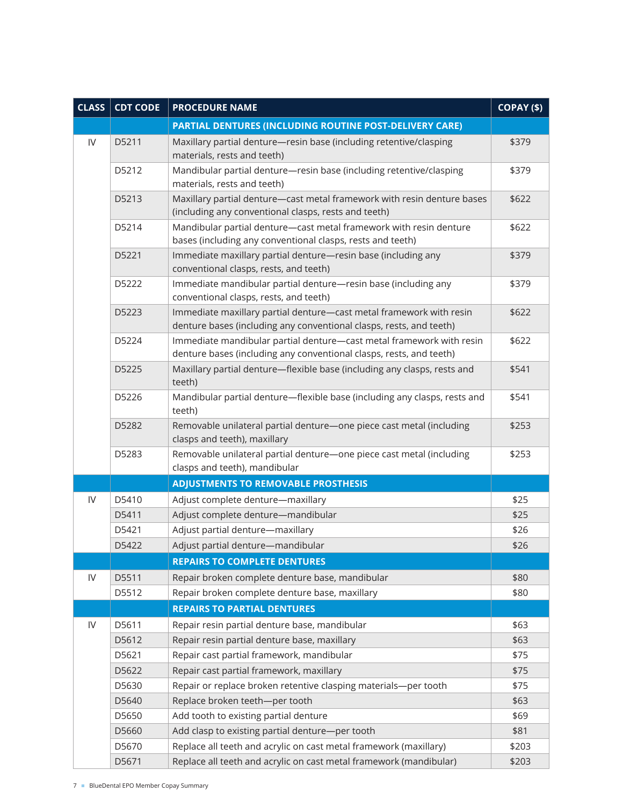| <b>CLASS</b>  | <b>CDT CODE</b> | <b>PROCEDURE NAME</b>                                                                                                                       | COPAY (\$) |
|---------------|-----------------|---------------------------------------------------------------------------------------------------------------------------------------------|------------|
|               |                 | PARTIAL DENTURES (INCLUDING ROUTINE POST-DELIVERY CARE)                                                                                     |            |
| $\mathsf{IV}$ | D5211           | Maxillary partial denture-resin base (including retentive/clasping<br>materials, rests and teeth)                                           | \$379      |
|               | D5212           | Mandibular partial denture-resin base (including retentive/clasping<br>materials, rests and teeth)                                          | \$379      |
|               | D5213           | Maxillary partial denture-cast metal framework with resin denture bases<br>(including any conventional clasps, rests and teeth)             | \$622      |
|               | D5214           | Mandibular partial denture-cast metal framework with resin denture<br>bases (including any conventional clasps, rests and teeth)            | \$622      |
|               | D5221           | Immediate maxillary partial denture-resin base (including any<br>conventional clasps, rests, and teeth)                                     | \$379      |
|               | D5222           | Immediate mandibular partial denture-resin base (including any<br>conventional clasps, rests, and teeth)                                    | \$379      |
|               | D5223           | Immediate maxillary partial denture-cast metal framework with resin<br>denture bases (including any conventional clasps, rests, and teeth)  | \$622      |
|               | D5224           | Immediate mandibular partial denture-cast metal framework with resin<br>denture bases (including any conventional clasps, rests, and teeth) | \$622      |
|               | D5225           | Maxillary partial denture-flexible base (including any clasps, rests and<br>teeth)                                                          | \$541      |
|               | D5226           | Mandibular partial denture-flexible base (including any clasps, rests and<br>teeth)                                                         | \$541      |
|               | D5282           | Removable unilateral partial denture-one piece cast metal (including<br>clasps and teeth), maxillary                                        | \$253      |
|               | D5283           | Removable unilateral partial denture-one piece cast metal (including<br>clasps and teeth), mandibular                                       | \$253      |
|               |                 | <b>ADJUSTMENTS TO REMOVABLE PROSTHESIS</b>                                                                                                  |            |
| ${\sf IV}$    | D5410           | Adjust complete denture-maxillary                                                                                                           | \$25       |
|               | D5411           | Adjust complete denture-mandibular                                                                                                          | \$25       |
|               | D5421           | Adjust partial denture-maxillary                                                                                                            | \$26       |
|               | D5422           | Adjust partial denture-mandibular                                                                                                           | \$26       |
|               |                 | <b>REPAIRS TO COMPLETE DENTURES</b>                                                                                                         |            |
| IV            | D5511           | Repair broken complete denture base, mandibular                                                                                             | \$80       |
|               | D5512           | Repair broken complete denture base, maxillary                                                                                              | \$80       |
|               |                 | <b>REPAIRS TO PARTIAL DENTURES</b>                                                                                                          |            |
| ${\sf IV}$    | D5611           | Repair resin partial denture base, mandibular                                                                                               | \$63       |
|               | D5612           | Repair resin partial denture base, maxillary                                                                                                | \$63       |
|               | D5621           | Repair cast partial framework, mandibular                                                                                                   | \$75       |
|               | D5622           | Repair cast partial framework, maxillary                                                                                                    | \$75       |
|               | D5630           | Repair or replace broken retentive clasping materials-per tooth                                                                             | \$75       |
|               | D5640           | Replace broken teeth-per tooth                                                                                                              | \$63       |
|               | D5650           | Add tooth to existing partial denture                                                                                                       | \$69       |
|               | D5660           | Add clasp to existing partial denture-per tooth                                                                                             | \$81       |
|               | D5670           | Replace all teeth and acrylic on cast metal framework (maxillary)                                                                           | \$203      |
|               | D5671           | Replace all teeth and acrylic on cast metal framework (mandibular)                                                                          | \$203      |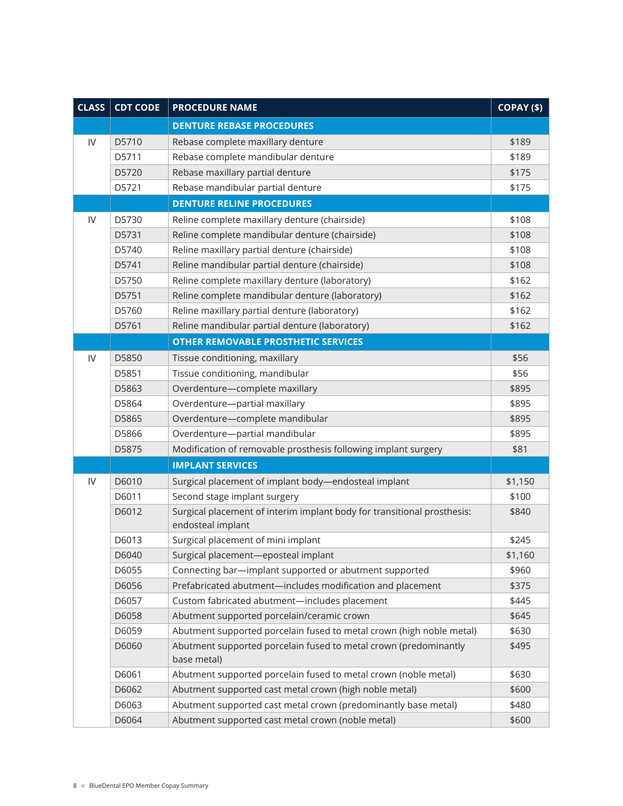| <b>CLASS</b>  | <b>CDT CODE</b> | <b>PROCEDURE NAME</b>                                                                        | COPAY (\$) |
|---------------|-----------------|----------------------------------------------------------------------------------------------|------------|
|               |                 | <b>DENTURE REBASE PROCEDURES</b>                                                             |            |
| $\mathsf{IV}$ | D5710           | Rebase complete maxillary denture                                                            | \$189      |
|               | D5711           | Rebase complete mandibular denture                                                           | \$189      |
|               | D5720           | Rebase maxillary partial denture                                                             | \$175      |
|               | D5721           | Rebase mandibular partial denture                                                            | \$175      |
|               |                 | <b>DENTURE RELINE PROCEDURES</b>                                                             |            |
| IV            | D5730           | Reline complete maxillary denture (chairside)                                                | \$108      |
|               | D5731           | Reline complete mandibular denture (chairside)                                               | \$108      |
|               | D5740           | Reline maxillary partial denture (chairside)                                                 | \$108      |
|               | D5741           | Reline mandibular partial denture (chairside)                                                | \$108      |
|               | D5750           | Reline complete maxillary denture (laboratory)                                               | \$162      |
|               | D5751           | Reline complete mandibular denture (laboratory)                                              | \$162      |
|               | D5760           | Reline maxillary partial denture (laboratory)                                                | \$162      |
|               | D5761           | Reline mandibular partial denture (laboratory)                                               | \$162      |
|               |                 | <b>OTHER REMOVABLE PROSTHETIC SERVICES</b>                                                   |            |
| IV            | D5850           | Tissue conditioning, maxillary                                                               | \$56       |
|               | D5851           | Tissue conditioning, mandibular                                                              | \$56       |
|               | D5863           | Overdenture-complete maxillary                                                               | \$895      |
|               | D5864           | Overdenture-partial maxillary                                                                | \$895      |
|               | D5865           | Overdenture-complete mandibular                                                              | \$895      |
|               | D5866           | Overdenture-partial mandibular                                                               | \$895      |
|               | D5875           | Modification of removable prosthesis following implant surgery                               | \$81       |
|               |                 | <b>IMPLANT SERVICES</b>                                                                      |            |
| $\mathsf{IV}$ | D6010           | Surgical placement of implant body-endosteal implant                                         | \$1,150    |
|               | D6011           | Second stage implant surgery                                                                 | \$100      |
|               | D6012           | Surgical placement of interim implant body for transitional prosthesis:<br>endosteal implant | \$840      |
|               | D6013           | Surgical placement of mini implant                                                           | \$245      |
|               | D6040           | Surgical placement-eposteal implant                                                          | \$1,160    |
|               | D6055           | Connecting bar-implant supported or abutment supported                                       | \$960      |
|               | D6056           | Prefabricated abutment-includes modification and placement                                   | \$375      |
|               | D6057           | Custom fabricated abutment-includes placement                                                | \$445      |
|               | D6058           | Abutment supported porcelain/ceramic crown                                                   | \$645      |
|               | D6059           | Abutment supported porcelain fused to metal crown (high noble metal)                         | \$630      |
|               | D6060           | Abutment supported porcelain fused to metal crown (predominantly<br>base metal)              | \$495      |
|               | D6061           | Abutment supported porcelain fused to metal crown (noble metal)                              | \$630      |
|               | D6062           | Abutment supported cast metal crown (high noble metal)                                       | \$600      |
|               | D6063           | Abutment supported cast metal crown (predominantly base metal)                               | \$480      |
|               | D6064           | Abutment supported cast metal crown (noble metal)                                            | \$600      |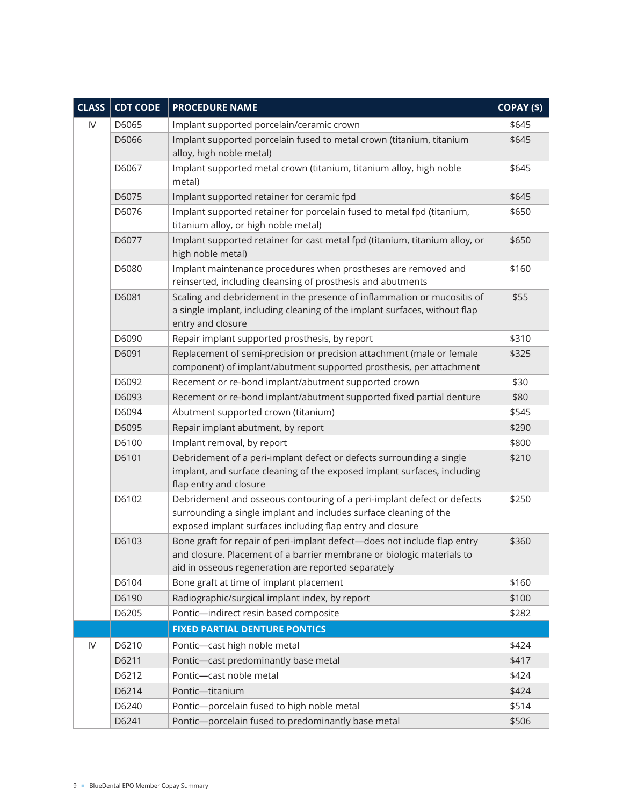| <b>CLASS</b> | <b>CDT CODE</b> | <b>PROCEDURE NAME</b>                                                                                                                                                                                    | COPAY (\$) |
|--------------|-----------------|----------------------------------------------------------------------------------------------------------------------------------------------------------------------------------------------------------|------------|
| IV           | D6065           | Implant supported porcelain/ceramic crown                                                                                                                                                                | \$645      |
|              | D6066           | Implant supported porcelain fused to metal crown (titanium, titanium<br>alloy, high noble metal)                                                                                                         | \$645      |
|              | D6067           | Implant supported metal crown (titanium, titanium alloy, high noble<br>metal)                                                                                                                            | \$645      |
|              | D6075           | Implant supported retainer for ceramic fpd                                                                                                                                                               | \$645      |
|              | D6076           | Implant supported retainer for porcelain fused to metal fpd (titanium,<br>titanium alloy, or high noble metal)                                                                                           | \$650      |
|              | D6077           | Implant supported retainer for cast metal fpd (titanium, titanium alloy, or<br>high noble metal)                                                                                                         | \$650      |
|              | D6080           | Implant maintenance procedures when prostheses are removed and<br>reinserted, including cleansing of prosthesis and abutments                                                                            | \$160      |
|              | D6081           | Scaling and debridement in the presence of inflammation or mucositis of<br>a single implant, including cleaning of the implant surfaces, without flap<br>entry and closure                               | \$55       |
|              | D6090           | Repair implant supported prosthesis, by report                                                                                                                                                           | \$310      |
|              | D6091           | Replacement of semi-precision or precision attachment (male or female<br>component) of implant/abutment supported prosthesis, per attachment                                                             | \$325      |
|              | D6092           | Recement or re-bond implant/abutment supported crown                                                                                                                                                     | \$30       |
|              | D6093           | Recement or re-bond implant/abutment supported fixed partial denture                                                                                                                                     | \$80       |
|              | D6094           | Abutment supported crown (titanium)                                                                                                                                                                      | \$545      |
|              | D6095           | Repair implant abutment, by report                                                                                                                                                                       | \$290      |
|              | D6100           | Implant removal, by report                                                                                                                                                                               | \$800      |
|              | D6101           | Debridement of a peri-implant defect or defects surrounding a single<br>implant, and surface cleaning of the exposed implant surfaces, including<br>flap entry and closure                               | \$210      |
|              | D6102           | Debridement and osseous contouring of a peri-implant defect or defects<br>surrounding a single implant and includes surface cleaning of the<br>exposed implant surfaces including flap entry and closure | \$250      |
|              | D6103           | Bone graft for repair of peri-implant defect-does not include flap entry<br>and closure. Placement of a barrier membrane or biologic materials to<br>aid in osseous regeneration are reported separately | \$360      |
|              | D6104           | Bone graft at time of implant placement                                                                                                                                                                  | \$160      |
|              | D6190           | Radiographic/surgical implant index, by report                                                                                                                                                           | \$100      |
|              | D6205           | Pontic-indirect resin based composite                                                                                                                                                                    | \$282      |
|              |                 | <b>FIXED PARTIAL DENTURE PONTICS</b>                                                                                                                                                                     |            |
| IV           | D6210           | Pontic-cast high noble metal                                                                                                                                                                             | \$424      |
|              | D6211           | Pontic-cast predominantly base metal                                                                                                                                                                     | \$417      |
|              | D6212           | Pontic-cast noble metal                                                                                                                                                                                  | \$424      |
|              | D6214           | Pontic-titanium                                                                                                                                                                                          | \$424      |
|              | D6240           | Pontic-porcelain fused to high noble metal                                                                                                                                                               | \$514      |
|              | D6241           | Pontic-porcelain fused to predominantly base metal                                                                                                                                                       | \$506      |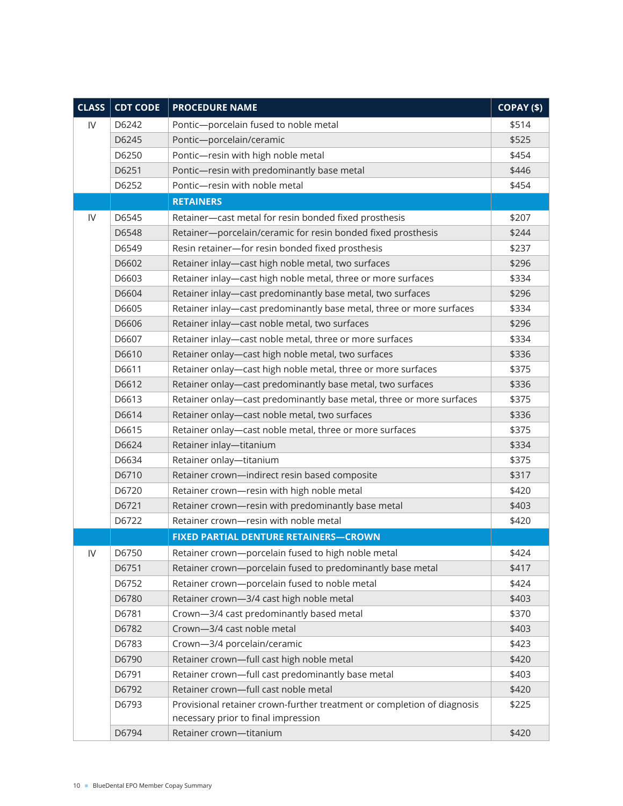| <b>CLASS</b> | <b>CDT CODE</b> | <b>PROCEDURE NAME</b>                                                                                          | COPAY (\$) |
|--------------|-----------------|----------------------------------------------------------------------------------------------------------------|------------|
| IV           | D6242           | Pontic-porcelain fused to noble metal                                                                          | \$514      |
|              | D6245           | Pontic-porcelain/ceramic                                                                                       | \$525      |
|              | D6250           | Pontic-resin with high noble metal                                                                             | \$454      |
|              | D6251           | Pontic-resin with predominantly base metal                                                                     | \$446      |
|              | D6252           | Pontic-resin with noble metal                                                                                  | \$454      |
|              |                 | <b>RETAINERS</b>                                                                                               |            |
| IV           | D6545           | Retainer-cast metal for resin bonded fixed prosthesis                                                          | \$207      |
|              | D6548           | Retainer-porcelain/ceramic for resin bonded fixed prosthesis                                                   | \$244      |
|              | D6549           | Resin retainer-for resin bonded fixed prosthesis                                                               | \$237      |
|              | D6602           | Retainer inlay-cast high noble metal, two surfaces                                                             | \$296      |
|              | D6603           | Retainer inlay-cast high noble metal, three or more surfaces                                                   | \$334      |
|              | D6604           | Retainer inlay-cast predominantly base metal, two surfaces                                                     | \$296      |
|              | D6605           | Retainer inlay-cast predominantly base metal, three or more surfaces                                           | \$334      |
|              | D6606           | Retainer inlay-cast noble metal, two surfaces                                                                  | \$296      |
|              | D6607           | Retainer inlay-cast noble metal, three or more surfaces                                                        | \$334      |
|              | D6610           | Retainer onlay-cast high noble metal, two surfaces                                                             | \$336      |
|              | D6611           | Retainer onlay-cast high noble metal, three or more surfaces                                                   | \$375      |
|              | D6612           | Retainer onlay-cast predominantly base metal, two surfaces                                                     | \$336      |
|              | D6613           | Retainer onlay-cast predominantly base metal, three or more surfaces                                           | \$375      |
|              | D6614           | Retainer onlay-cast noble metal, two surfaces                                                                  | \$336      |
|              | D6615           | Retainer onlay-cast noble metal, three or more surfaces                                                        | \$375      |
|              | D6624           | Retainer inlay-titanium                                                                                        | \$334      |
|              | D6634           | Retainer onlay-titanium                                                                                        | \$375      |
|              | D6710           | Retainer crown-indirect resin based composite                                                                  | \$317      |
|              | D6720           | Retainer crown-resin with high noble metal                                                                     | \$420      |
|              | D6721           | Retainer crown-resin with predominantly base metal                                                             | \$403      |
|              | D6722           | Retainer crown-resin with noble metal                                                                          | \$420      |
|              |                 | <b>FIXED PARTIAL DENTURE RETAINERS-CROWN</b>                                                                   |            |
| IV           | D6750           | Retainer crown-porcelain fused to high noble metal                                                             | \$424      |
|              | D6751           | Retainer crown-porcelain fused to predominantly base metal                                                     | \$417      |
|              | D6752           | Retainer crown-porcelain fused to noble metal                                                                  | \$424      |
|              | D6780           | Retainer crown-3/4 cast high noble metal                                                                       | \$403      |
|              | D6781           | Crown-3/4 cast predominantly based metal                                                                       | \$370      |
|              | D6782           | Crown-3/4 cast noble metal                                                                                     | \$403      |
|              | D6783           | Crown-3/4 porcelain/ceramic                                                                                    | \$423      |
|              | D6790           | Retainer crown-full cast high noble metal                                                                      | \$420      |
|              | D6791           | Retainer crown-full cast predominantly base metal                                                              | \$403      |
|              | D6792           | Retainer crown-full cast noble metal                                                                           | \$420      |
|              | D6793           | Provisional retainer crown-further treatment or completion of diagnosis<br>necessary prior to final impression | \$225      |
|              | D6794           | Retainer crown-titanium                                                                                        | \$420      |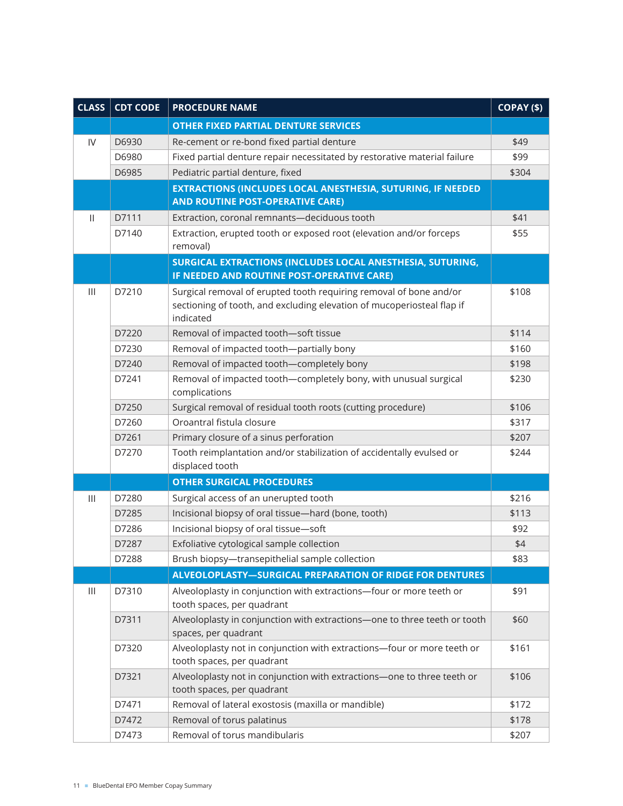| <b>CLASS</b>                              | <b>CDT CODE</b> | <b>PROCEDURE NAME</b>                                                                                                                        | COPAY (\$)     |
|-------------------------------------------|-----------------|----------------------------------------------------------------------------------------------------------------------------------------------|----------------|
|                                           |                 | <b>OTHER FIXED PARTIAL DENTURE SERVICES</b>                                                                                                  |                |
| IV                                        | D6930           | Re-cement or re-bond fixed partial denture                                                                                                   | \$49           |
|                                           | D6980           | Fixed partial denture repair necessitated by restorative material failure                                                                    | \$99           |
|                                           | D6985           | Pediatric partial denture, fixed                                                                                                             | \$304          |
|                                           |                 | EXTRACTIONS (INCLUDES LOCAL ANESTHESIA, SUTURING, IF NEEDED                                                                                  |                |
|                                           |                 | <b>AND ROUTINE POST-OPERATIVE CARE)</b>                                                                                                      |                |
| Ш                                         | D7111           | Extraction, coronal remnants-deciduous tooth                                                                                                 | \$41           |
|                                           | D7140           | Extraction, erupted tooth or exposed root (elevation and/or forceps                                                                          | \$55           |
|                                           |                 | removal)                                                                                                                                     |                |
|                                           |                 | SURGICAL EXTRACTIONS (INCLUDES LOCAL ANESTHESIA, SUTURING,<br>IF NEEDED AND ROUTINE POST-OPERATIVE CARE)                                     |                |
|                                           |                 |                                                                                                                                              |                |
| $\mathop{1\hskip-2.5pt {\rm l}}\nolimits$ | D7210           | Surgical removal of erupted tooth requiring removal of bone and/or<br>sectioning of tooth, and excluding elevation of mucoperiosteal flap if | \$108          |
|                                           |                 | indicated                                                                                                                                    |                |
|                                           | D7220           | Removal of impacted tooth-soft tissue                                                                                                        | \$114          |
|                                           | D7230           | Removal of impacted tooth-partially bony                                                                                                     | \$160          |
|                                           | D7240           | Removal of impacted tooth-completely bony                                                                                                    | \$198          |
|                                           | D7241           | Removal of impacted tooth-completely bony, with unusual surgical                                                                             | \$230          |
|                                           |                 | complications                                                                                                                                |                |
|                                           | D7250           | Surgical removal of residual tooth roots (cutting procedure)                                                                                 | \$106          |
|                                           | D7260           | Oroantral fistula closure                                                                                                                    | \$317          |
|                                           | D7261           | Primary closure of a sinus perforation                                                                                                       | \$207          |
|                                           | D7270           | Tooth reimplantation and/or stabilization of accidentally evulsed or                                                                         | \$244          |
|                                           |                 | displaced tooth                                                                                                                              |                |
|                                           | D7280           | <b>OTHER SURGICAL PROCEDURES</b>                                                                                                             |                |
| $\mathop{1\hskip-2.5pt {\rm l}}\nolimits$ | D7285           | Surgical access of an unerupted tooth<br>Incisional biopsy of oral tissue-hard (bone, tooth)                                                 | \$216<br>\$113 |
|                                           | D7286           | Incisional biopsy of oral tissue-soft                                                                                                        | \$92           |
|                                           | D7287           | Exfoliative cytological sample collection                                                                                                    | \$4            |
|                                           | D7288           | Brush biopsy-transepithelial sample collection                                                                                               | \$83           |
|                                           |                 | ALVEOLOPLASTY-SURGICAL PREPARATION OF RIDGE FOR DENTURES                                                                                     |                |
| $\mathbf{III}$                            | D7310           | Alveoloplasty in conjunction with extractions-four or more teeth or                                                                          | \$91           |
|                                           |                 | tooth spaces, per quadrant                                                                                                                   |                |
|                                           | D7311           | Alveoloplasty in conjunction with extractions-one to three teeth or tooth                                                                    | \$60           |
|                                           |                 | spaces, per quadrant                                                                                                                         |                |
|                                           | D7320           | Alveoloplasty not in conjunction with extractions-four or more teeth or                                                                      | \$161          |
|                                           |                 | tooth spaces, per quadrant                                                                                                                   |                |
|                                           | D7321           | Alveoloplasty not in conjunction with extractions-one to three teeth or                                                                      | \$106          |
|                                           |                 | tooth spaces, per quadrant                                                                                                                   |                |
|                                           | D7471           | Removal of lateral exostosis (maxilla or mandible)                                                                                           | \$172          |
|                                           | D7472           | Removal of torus palatinus                                                                                                                   | \$178          |
|                                           | D7473           | Removal of torus mandibularis                                                                                                                | \$207          |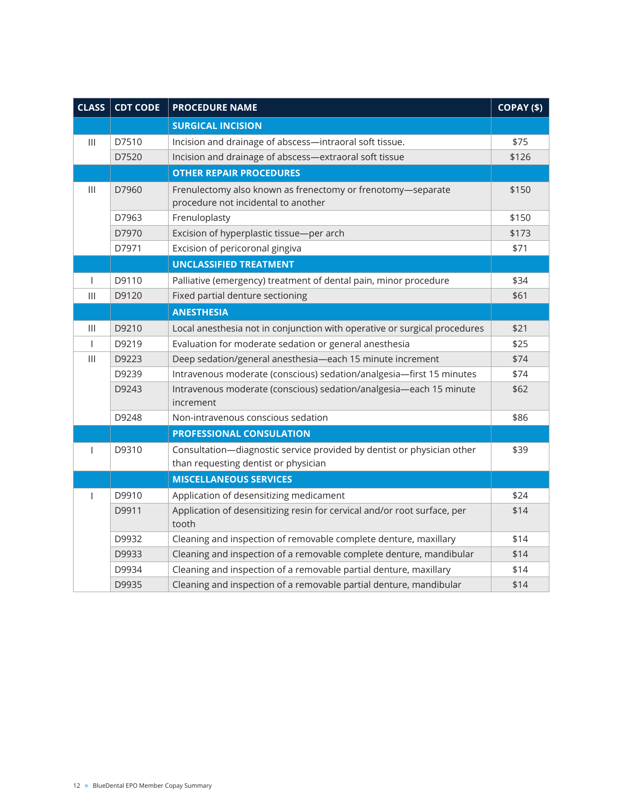| <b>CLASS</b>                              | <b>CDT CODE</b> | <b>PROCEDURE NAME</b>                                                                                          | COPAY (\$) |
|-------------------------------------------|-----------------|----------------------------------------------------------------------------------------------------------------|------------|
|                                           |                 | <b>SURGICAL INCISION</b>                                                                                       |            |
| $\mathbf{III}$                            | D7510           | Incision and drainage of abscess-intraoral soft tissue.                                                        | \$75       |
|                                           | D7520           | Incision and drainage of abscess-extraoral soft tissue                                                         | \$126      |
|                                           |                 | <b>OTHER REPAIR PROCEDURES</b>                                                                                 |            |
| $\mathbf{III}$                            | D7960           | Frenulectomy also known as frenectomy or frenotomy-separate<br>procedure not incidental to another             | \$150      |
|                                           | D7963           | Frenuloplasty                                                                                                  | \$150      |
|                                           | D7970           | Excision of hyperplastic tissue-per arch                                                                       | \$173      |
|                                           | D7971           | Excision of pericoronal gingiva                                                                                | \$71       |
|                                           |                 | <b>UNCLASSIFIED TREATMENT</b>                                                                                  |            |
| I                                         | D9110           | Palliative (emergency) treatment of dental pain, minor procedure                                               | \$34       |
| $\mathop{1\hskip-2.5pt {\rm l}}\nolimits$ | D9120           | Fixed partial denture sectioning                                                                               | \$61       |
|                                           |                 | <b>ANESTHESIA</b>                                                                                              |            |
| $\mathbf{III}$                            | D9210           | Local anesthesia not in conjunction with operative or surgical procedures                                      | \$21       |
| I                                         | D9219           | Evaluation for moderate sedation or general anesthesia                                                         | \$25       |
| $\mathbf{III}$                            | D9223           | Deep sedation/general anesthesia-each 15 minute increment                                                      | \$74       |
|                                           | D9239           | Intravenous moderate (conscious) sedation/analgesia-first 15 minutes                                           | \$74       |
|                                           | D9243           | Intravenous moderate (conscious) sedation/analgesia-each 15 minute<br>increment                                | \$62       |
|                                           | D9248           | Non-intravenous conscious sedation                                                                             | \$86       |
|                                           |                 | <b>PROFESSIONAL CONSULATION</b>                                                                                |            |
| I                                         | D9310           | Consultation-diagnostic service provided by dentist or physician other<br>than requesting dentist or physician | \$39       |
|                                           |                 | <b>MISCELLANEOUS SERVICES</b>                                                                                  |            |
| $\mathbf{I}$                              | D9910           | Application of desensitizing medicament                                                                        | \$24       |
|                                           | D9911           | Application of desensitizing resin for cervical and/or root surface, per<br>tooth                              | \$14       |
|                                           | D9932           | Cleaning and inspection of removable complete denture, maxillary                                               | \$14       |
|                                           | D9933           | Cleaning and inspection of a removable complete denture, mandibular                                            | \$14       |
|                                           | D9934           | Cleaning and inspection of a removable partial denture, maxillary                                              | \$14       |
|                                           | D9935           | Cleaning and inspection of a removable partial denture, mandibular                                             | \$14       |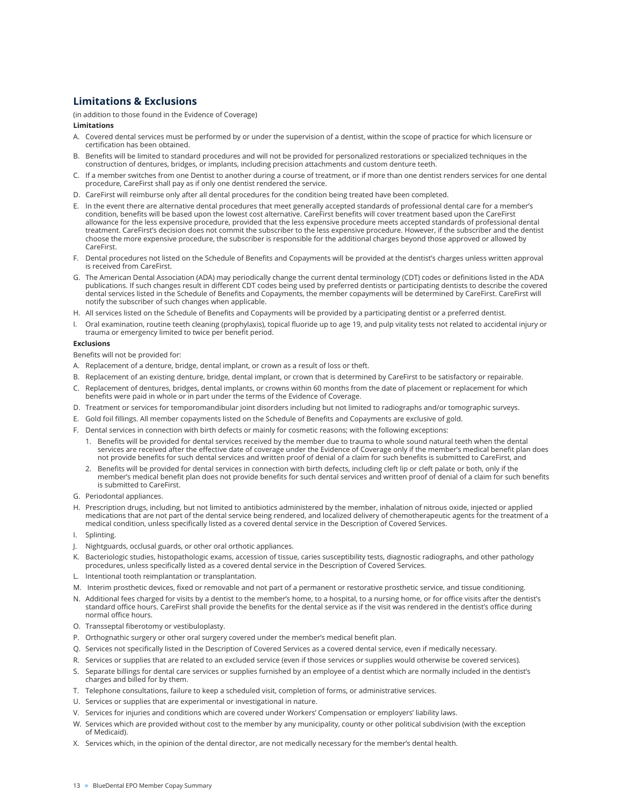# **Limitations & Exclusions**

(in addition to those found in the Evidence of Coverage)

## **Limitations**

- A. Covered dental services must be performed by or under the supervision of a dentist, within the scope of practice for which licensure or certification has been obtained.
- B. Benefits will be limited to standard procedures and will not be provided for personalized restorations or specialized techniques in the construction of dentures, bridges, or implants, including precision attachments and custom denture teeth.
- C. If a member switches from one Dentist to another during a course of treatment, or if more than one dentist renders services for one dental procedure, CareFirst shall pay as if only one dentist rendered the service.
- D. CareFirst will reimburse only after all dental procedures for the condition being treated have been completed.
- E. In the event there are alternative dental procedures that meet generally accepted standards of professional dental care for a member's condition, benefits will be based upon the lowest cost alternative. CareFirst benefits will cover treatment based upon the CareFirst allowance for the less expensive procedure, provided that the less expensive procedure meets accepted standards of professional dental treatment. CareFirst's decision does not commit the subscriber to the less expensive procedure. However, if the subscriber and the dentist choose the more expensive procedure, the subscriber is responsible for the additional charges beyond those approved or allowed by CareFirst.
- F. Dental procedures not listed on the Schedule of Benefits and Copayments will be provided at the dentist's charges unless written approval is received from CareFirst.
- G. The American Dental Association (ADA) may periodically change the current dental terminology (CDT) codes or definitions listed in the ADA publications. If such changes result in different CDT codes being used by preferred dentists or participating dentists to describe the covered dental services listed in the Schedule of Benefits and Copayments, the member copayments will be determined by CareFirst. CareFirst will notify the subscriber of such changes when applicable.
- H. All services listed on the Schedule of Benefits and Copayments will be provided by a participating dentist or a preferred dentist.
- I. Oral examination, routine teeth cleaning (prophylaxis), topical fluoride up to age 19, and pulp vitality tests not related to accidental injury or trauma or emergency limited to twice per benefit period.

### **Exclusions**

Benefits will not be provided for:

- A. Replacement of a denture, bridge, dental implant, or crown as a result of loss or theft.
- B. Replacement of an existing denture, bridge, dental implant, or crown that is determined by CareFirst to be satisfactory or repairable.
- C. Replacement of dentures, bridges, dental implants, or crowns within 60 months from the date of placement or replacement for which benefits were paid in whole or in part under the terms of the Evidence of Coverage.
- D. Treatment or services for temporomandibular joint disorders including but not limited to radiographs and/or tomographic surveys.
- E. Gold foil fillings. All member copayments listed on the Schedule of Benefits and Copayments are exclusive of gold.
- F. Dental services in connection with birth defects or mainly for cosmetic reasons; with the following exceptions:
	- 1. Benefits will be provided for dental services received by the member due to trauma to whole sound natural teeth when the dental services are received after the effective date of coverage under the Evidence of Coverage only if the member's medical benefit plan does not provide benefits for such dental services and written proof of denial of a claim for such benefits is submitted to CareFirst, and
	- 2. Benefits will be provided for dental services in connection with birth defects, including cleft lip or cleft palate or both, only if the member's medical benefit plan does not provide benefits for such dental services and written proof of denial of a claim for such benefits is submitted to CareFirst.
- G. Periodontal appliances.
- H. Prescription drugs, including, but not limited to antibiotics administered by the member, inhalation of nitrous oxide, injected or applied medications that are not part of the dental service being rendered, and localized delivery of chemotherapeutic agents for the treatment of a medical condition, unless specifically listed as a covered dental service in the Description of Covered Services.
- I. Splinting.
- J. Nightguards, occlusal guards, or other oral orthotic appliances.
- K. Bacteriologic studies, histopathologic exams, accession of tissue, caries susceptibility tests, diagnostic radiographs, and other pathology procedures, unless specifically listed as a covered dental service in the Description of Covered Services.
- L. Intentional tooth reimplantation or transplantation.
- M. Interim prosthetic devices, fixed or removable and not part of a permanent or restorative prosthetic service, and tissue conditioning.
- N. Additional fees charged for visits by a dentist to the member's home, to a hospital, to a nursing home, or for office visits after the dentist's standard office hours. CareFirst shall provide the benefits for the dental service as if the visit was rendered in the dentist's office during normal office hours.
- O. Transseptal fiberotomy or vestibuloplasty.
- P. Orthognathic surgery or other oral surgery covered under the member's medical benefit plan.
- Q. Services not specifically listed in the Description of Covered Services as a covered dental service, even if medically necessary.
- R. Services or supplies that are related to an excluded service (even if those services or supplies would otherwise be covered services).
- S. Separate billings for dental care services or supplies furnished by an employee of a dentist which are normally included in the dentist's charges and billed for by them.
- T. Telephone consultations, failure to keep a scheduled visit, completion of forms, or administrative services.
- U. Services or supplies that are experimental or investigational in nature.
- V. Services for injuries and conditions which are covered under Workers' Compensation or employers' liability laws.
- W. Services which are provided without cost to the member by any municipality, county or other political subdivision (with the exception of Medicaid).
- X. Services which, in the opinion of the dental director, are not medically necessary for the member's dental health.